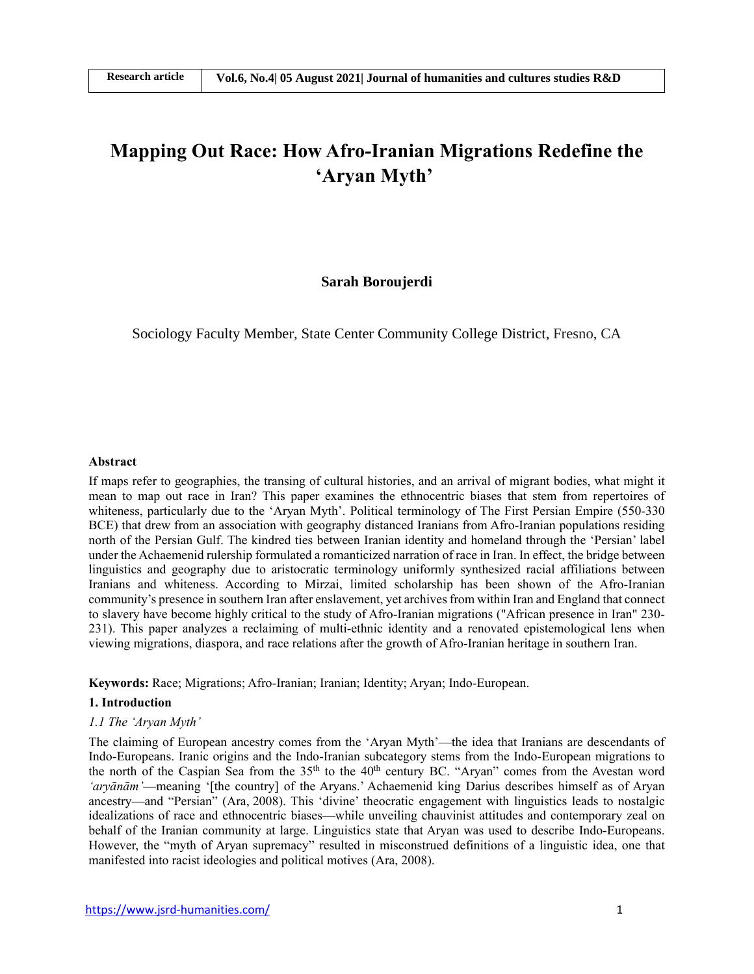# **Mapping Out Race: How Afro-Iranian Migrations Redefine the 'Aryan Myth'**

#### **Sarah Boroujerdi**

Sociology Faculty Member, State Center Community College District, Fresno, CA

#### **Abstract**

If maps refer to geographies, the transing of cultural histories, and an arrival of migrant bodies, what might it mean to map out race in Iran? This paper examines the ethnocentric biases that stem from repertoires of whiteness, particularly due to the 'Aryan Myth'. Political terminology of The First Persian Empire (550-330 BCE) that drew from an association with geography distanced Iranians from Afro-Iranian populations residing north of the Persian Gulf. The kindred ties between Iranian identity and homeland through the 'Persian' label under the Achaemenid rulership formulated a romanticized narration of race in Iran. In effect, the bridge between linguistics and geography due to aristocratic terminology uniformly synthesized racial affiliations between Iranians and whiteness. According to Mirzai, limited scholarship has been shown of the Afro-Iranian community's presence in southern Iran after enslavement, yet archivesfrom within Iran and England that connect to slavery have become highly critical to the study of Afro-Iranian migrations ("African presence in Iran" 230- 231). This paper analyzes a reclaiming of multi-ethnic identity and a renovated epistemological lens when viewing migrations, diaspora, and race relations after the growth of Afro-Iranian heritage in southern Iran.

**Keywords:** Race; Migrations; Afro-Iranian; Iranian; Identity; Aryan; Indo-European.

### **1. Introduction**

#### *1.1 The 'Aryan Myth'*

The claiming of European ancestry comes from the 'Aryan Myth'—the idea that Iranians are descendants of Indo-Europeans. Iranic origins and the Indo-Iranian subcategory stems from the Indo-European migrations to the north of the Caspian Sea from the 35<sup>th</sup> to the 40<sup>th</sup> century BC. "Aryan" comes from the Avestan word 'aryānām'—meaning '[the country] of the Aryans.' Achaemenid king Darius describes himself as of Aryan ancestry—and "Persian" (Ara, 2008). This 'divine' theocratic engagement with linguistics leads to nostalgic idealizations of race and ethnocentric biases—while unveiling chauvinist attitudes and contemporary zeal on behalf of the Iranian community at large. Linguistics state that Aryan was used to describe Indo-Europeans. However, the "myth of Aryan supremacy" resulted in misconstrued definitions of a linguistic idea, one that manifested into racist ideologies and political motives (Ara, 2008).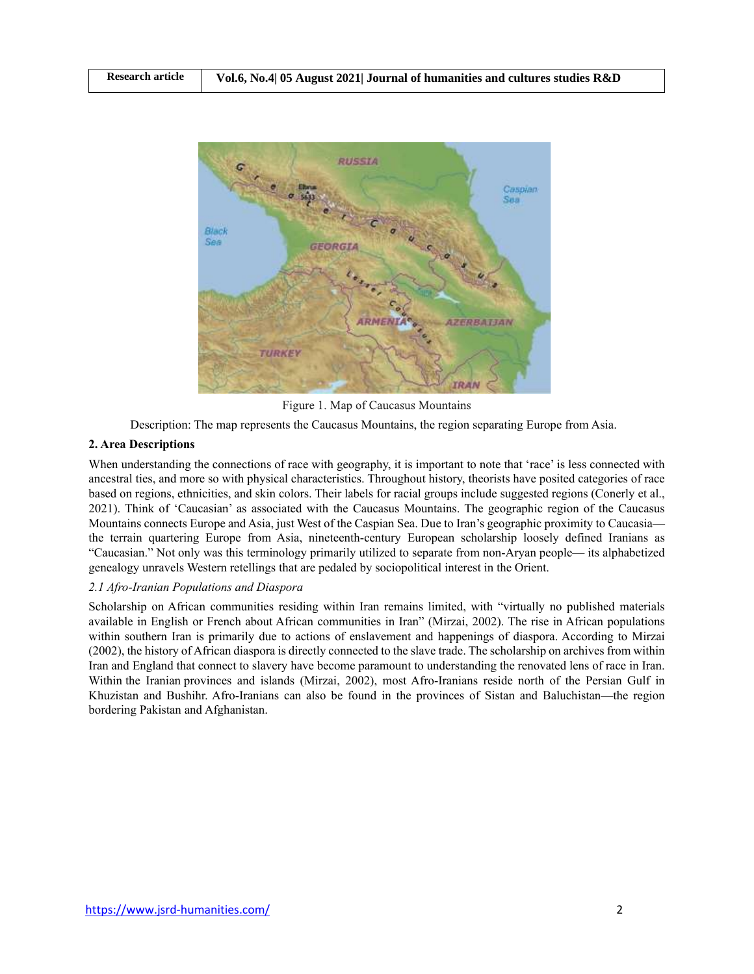

Figure 1. Map of Caucasus Mountains

Description: The map represents the Caucasus Mountains, the region separating Europe from Asia.

## **2. Area Descriptions**

When understanding the connections of race with geography, it is important to note that 'race' is less connected with ancestral ties, and more so with physical characteristics. Throughout history, theorists have posited categories of race based on regions, ethnicities, and skin colors. Their labels for racial groups include suggested regions (Conerly et al., 2021). Think of 'Caucasian' as associated with the Caucasus Mountains. The geographic region of the Caucasus Mountains connects Europe and Asia, just West of the Caspian Sea. Due to Iran's geographic proximity to Caucasia the terrain quartering Europe from Asia, nineteenth-century European scholarship loosely defined Iranians as "Caucasian." Not only was this terminology primarily utilized to separate from non-Aryan people— its alphabetized genealogy unravels Western retellings that are pedaled by sociopolitical interest in the Orient.

# *2.1 Afro-Iranian Populations and Diaspora*

Scholarship on African communities residing within Iran remains limited, with "virtually no published materials available in English or French about African communities in Iran" (Mirzai, 2002). The rise in African populations within southern Iran is primarily due to actions of enslavement and happenings of diaspora. According to Mirzai (2002), the history of African diaspora is directly connected to the slave trade. The scholarship on archives from within Iran and England that connect to slavery have become paramount to understanding the renovated lens of race in Iran. Within the Iranian provinces and islands (Mirzai, 2002), most Afro-Iranians reside north of the Persian Gulf in Khuzistan and Bushihr. Afro-Iranians can also be found in the provinces of Sistan and Baluchistan—the region bordering Pakistan and Afghanistan.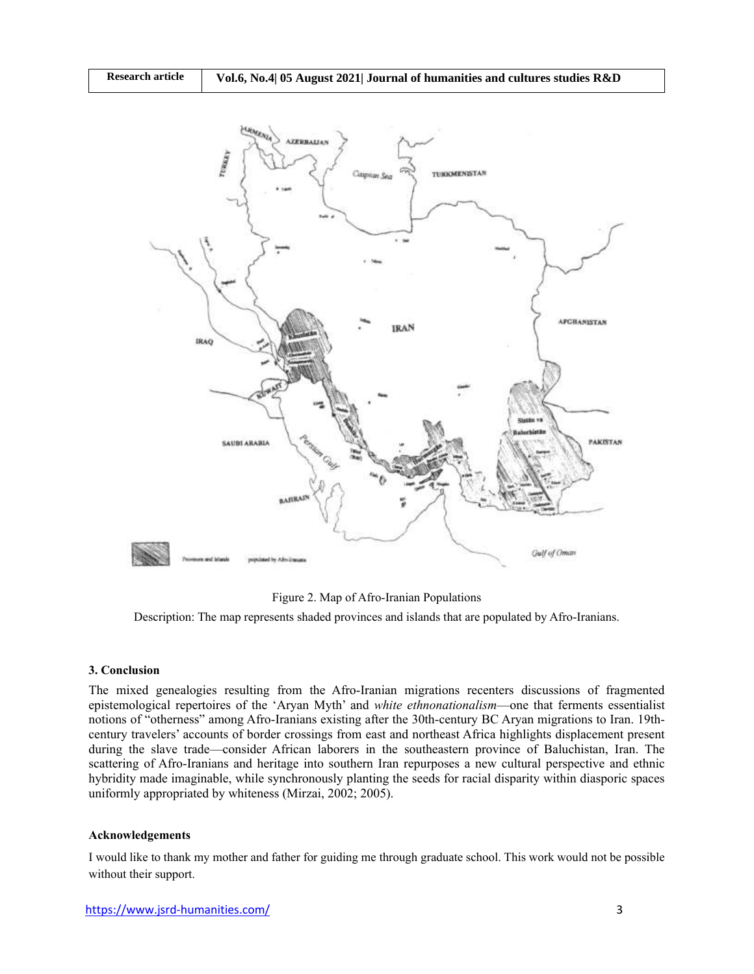

Figure 2. Map of Afro-Iranian Populations

Description: The map represents shaded provinces and islands that are populated by Afro-Iranians.

### **3. Conclusion**

The mixed genealogies resulting from the Afro-Iranian migrations recenters discussions of fragmented epistemological repertoires of the 'Aryan Myth' and *white ethnonationalism*—one that ferments essentialist notions of "otherness" among Afro-Iranians existing after the 30th-century BC Aryan migrations to Iran. 19thcentury travelers' accounts of border crossings from east and northeast Africa highlights displacement present during the slave trade—consider African laborers in the southeastern province of Baluchistan, Iran. The scattering of Afro-Iranians and heritage into southern Iran repurposes a new cultural perspective and ethnic hybridity made imaginable, while synchronously planting the seeds for racial disparity within diasporic spaces uniformly appropriated by whiteness (Mirzai, 2002; 2005).

#### **Acknowledgements**

I would like to thank my mother and father for guiding me through graduate school. This work would not be possible without their support.